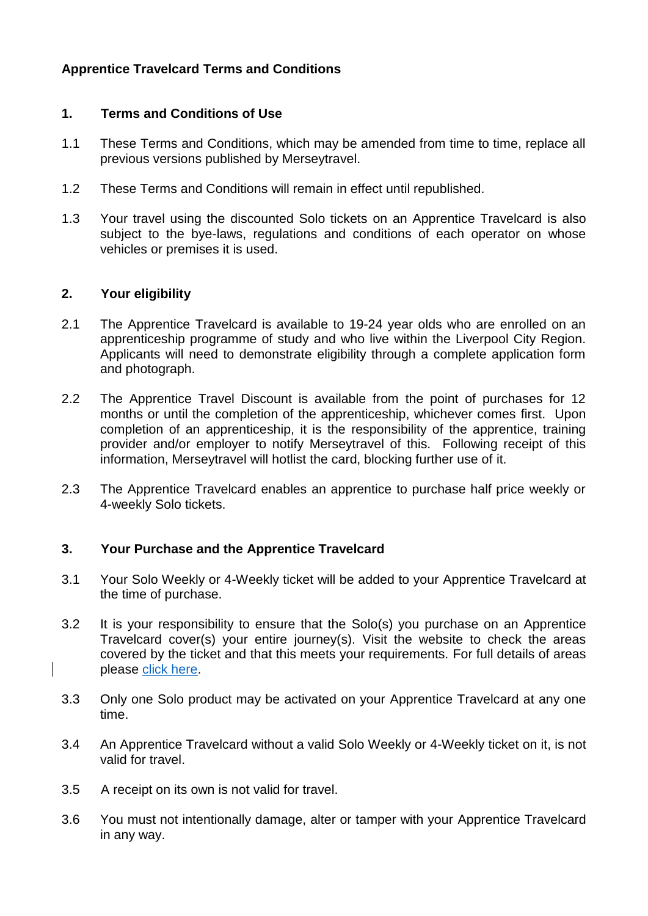# **Apprentice Travelcard Terms and Conditions**

### **1. Terms and Conditions of Use**

- 1.1 These Terms and Conditions, which may be amended from time to time, replace all previous versions published by Merseytravel.
- 1.2 These Terms and Conditions will remain in effect until republished.
- 1.3 Your travel using the discounted Solo tickets on an Apprentice Travelcard is also subject to the bye-laws, regulations and conditions of each operator on whose vehicles or premises it is used.

### **2. Your eligibility**

- 2.1 The Apprentice Travelcard is available to 19-24 year olds who are enrolled on an apprenticeship programme of study and who live within the Liverpool City Region. Applicants will need to demonstrate eligibility through a complete application form and photograph.
- 2.2 The Apprentice Travel Discount is available from the point of purchases for 12 months or until the completion of the apprenticeship, whichever comes first. Upon completion of an apprenticeship, it is the responsibility of the apprentice, training provider and/or employer to notify Merseytravel of this. Following receipt of this information, Merseytravel will hotlist the card, blocking further use of it.
- 2.3 The Apprentice Travelcard enables an apprentice to purchase half price weekly or 4-weekly Solo tickets.

# **3. Your Purchase and the Apprentice Travelcard**

- 3.1 Your Solo Weekly or 4-Weekly ticket will be added to your Apprentice Travelcard at the time of purchase.
- 3.2 It is your responsibility to ensure that the Solo(s) you purchase on an Apprentice Travelcard cover(s) your entire journey(s). Visit the website to check the areas covered by the ticket and that this meets your requirements. For full details of areas please [click here.](http://www.merseytravel.gov.uk/travelling-around/Pages/default.aspx)
- 3.3 Only one Solo product may be activated on your Apprentice Travelcard at any one time.
- 3.4 An Apprentice Travelcard without a valid Solo Weekly or 4-Weekly ticket on it, is not valid for travel.
- 3.5 A receipt on its own is not valid for travel.
- 3.6 You must not intentionally damage, alter or tamper with your Apprentice Travelcard in any way.